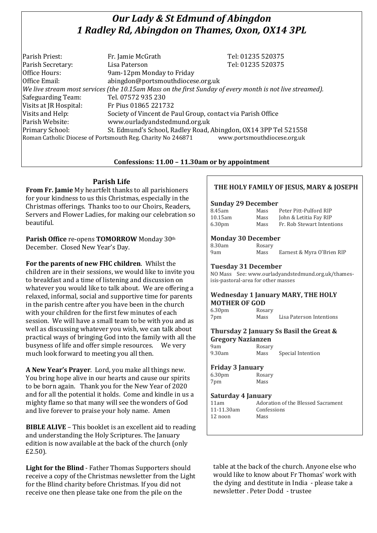# *Our Lady & St Edmund of Abingdon 1 Radley Rd, Abingdon on Thames, Oxon, OX14 3PL*

| Parish Priest:                                                                              | Fr. Jamie McGrath                                                                                        | Tel: 01235 520375 |  |  |
|---------------------------------------------------------------------------------------------|----------------------------------------------------------------------------------------------------------|-------------------|--|--|
| Parish Secretary:                                                                           | Lisa Paterson                                                                                            | Tel: 01235 520375 |  |  |
| Office Hours:                                                                               | 9am-12pm Monday to Friday                                                                                |                   |  |  |
| Office Email:                                                                               | abingdon@portsmouthdiocese.org.uk                                                                        |                   |  |  |
|                                                                                             | We live stream most services (the 10.15am Mass on the first Sunday of every month is not live streamed). |                   |  |  |
| Safeguarding Team:                                                                          | Tel. 07572 935 230                                                                                       |                   |  |  |
| Visits at JR Hospital:                                                                      | Fr Pius 01865 221732                                                                                     |                   |  |  |
| Visits and Help:                                                                            | Society of Vincent de Paul Group, contact via Parish Office                                              |                   |  |  |
| Parish Website:                                                                             | www.ourladyandstedmund.org.uk                                                                            |                   |  |  |
| Primary School:                                                                             | St. Edmund's School, Radley Road, Abingdon, OX14 3PP Tel 521558                                          |                   |  |  |
| www.portsmouthdiocese.org.uk<br>Roman Catholic Diocese of Portsmouth Reg. Charity No 246871 |                                                                                                          |                   |  |  |

# **Confessions: 11.00 – 11.30am or by appointment**

### **Parish Life**

**From Fr. Jamie** My heartfelt thanks to all parishioners for your kindness to us this Christmas, especially in the Christmas offerings. Thanks too to our Choirs, Readers, Servers and Flower Ladies, for making our celebration so beautiful.

**Parish Office** re-opens **TOMORROW** Monday 30th December. Closed New Year's Day.

**For the parents of new FHC children**. Whilst the children are in their sessions, we would like to invite you to breakfast and a time of listening and discussion on whatever you would like to talk about. We are offering a relaxed, informal, social and supportive time for parents in the parish centre after you have been in the church with your children for the first few minutes of each session. We will have a small team to be with you and as well as discussing whatever you wish, we can talk about practical ways of bringing God into the family with all the busyness of life and offer simple resources. We very much look forward to meeting you all then.

**A New Year's Prayer**. Lord, you make all things new. You bring hope alive in our hearts and cause our spirits to be born again. Thank you for the New Year of 2020 and for all the potential it holds. Come and kindle in us a mighty flame so that many will see the wonders of God and live forever to praise your holy name. Amen

**BIBLE ALIVE** – This booklet is an excellent aid to reading and understanding the Holy Scriptures. The January edition is now available at the back of the church (only £2.50).

**Light for the Blind** - Father Thomas Supporters should receive a copy of the Christmas newsletter from the Light for the Blind charity before Christmas. If you did not receive one then please take one from the pile on the

# **THE HOLY FAMILY OF JESUS, MARY & JOSEPH**

#### **Sunday 29 December**

| 8.45am             | Mass | Peter Pitt-Pulford RIP     |
|--------------------|------|----------------------------|
| 10.15am            | Mass | John & Letitia Fay RIP     |
| 6.30 <sub>pm</sub> | Mass | Fr. Rob Stewart Intentions |

#### **Monday 30 December**

| 8.30am | Rosary |                            |
|--------|--------|----------------------------|
| 9am    | Mass   | Earnest & Myra O'Brien RIP |

#### **Tuesday 31 December**

NO Mass See: www.ourladyandstedmund.org.uk/thamesisis-pastoral-area for other masses

# **Wednesday 1 January MARY, THE HOLY MOTHER OF GOD**

6.30pm Rosary

7pm Mass Lisa Paterson Intentions

# **Thursday 2 January Ss Basil the Great & Gregory Nazianzen**

9am Rosary 9.30am Mass Special Intention

#### **Friday 3 January**

6.30pm Rosary 7pm Mass

#### **Saturday 4 January**

11-11.30am Confessions 12 noon Mass

11am Adoration of the Blessed Sacrament

table at the back of the church. Anyone else who would like to know about Fr Thomas' work with the dying and destitute in India - please take a newsletter Peter Dodd - trustee